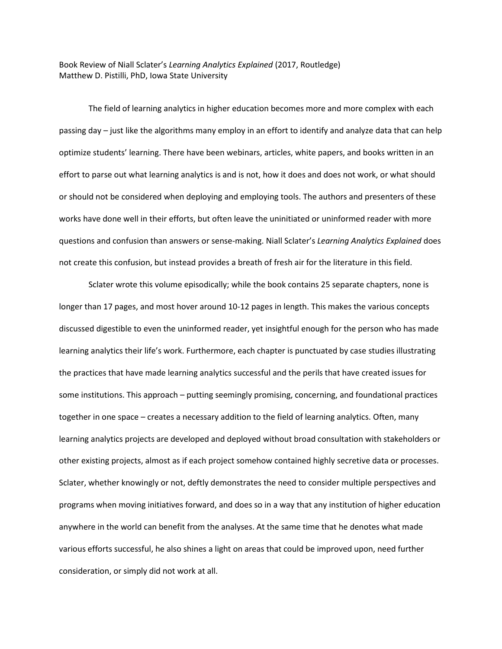Book Review of Niall Sclater's *Learning Analytics Explained* (2017, Routledge) Matthew D. Pistilli, PhD, Iowa State University

The field of learning analytics in higher education becomes more and more complex with each passing day – just like the algorithms many employ in an effort to identify and analyze data that can help optimize students' learning. There have been webinars, articles, white papers, and books written in an effort to parse out what learning analytics is and is not, how it does and does not work, or what should or should not be considered when deploying and employing tools. The authors and presenters of these works have done well in their efforts, but often leave the uninitiated or uninformed reader with more questions and confusion than answers or sense-making. Niall Sclater's *Learning Analytics Explained* does not create this confusion, but instead provides a breath of fresh air for the literature in this field.

Sclater wrote this volume episodically; while the book contains 25 separate chapters, none is longer than 17 pages, and most hover around 10-12 pages in length. This makes the various concepts discussed digestible to even the uninformed reader, yet insightful enough for the person who has made learning analytics their life's work. Furthermore, each chapter is punctuated by case studies illustrating the practices that have made learning analytics successful and the perils that have created issues for some institutions. This approach – putting seemingly promising, concerning, and foundational practices together in one space – creates a necessary addition to the field of learning analytics. Often, many learning analytics projects are developed and deployed without broad consultation with stakeholders or other existing projects, almost as if each project somehow contained highly secretive data or processes. Sclater, whether knowingly or not, deftly demonstrates the need to consider multiple perspectives and programs when moving initiatives forward, and does so in a way that any institution of higher education anywhere in the world can benefit from the analyses. At the same time that he denotes what made various efforts successful, he also shines a light on areas that could be improved upon, need further consideration, or simply did not work at all.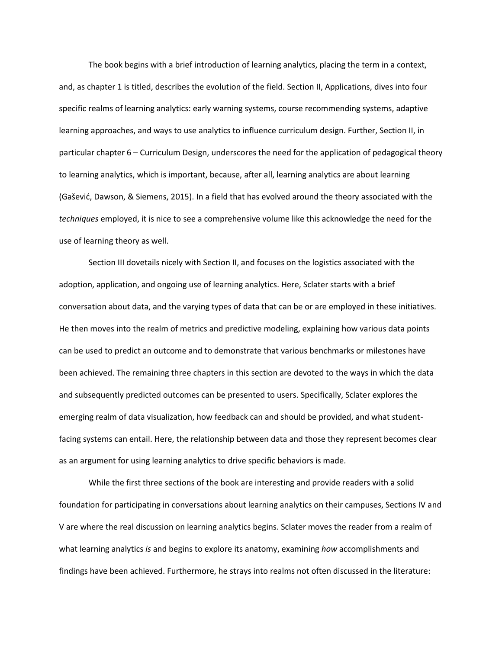The book begins with a brief introduction of learning analytics, placing the term in a context, and, as chapter 1 is titled, describes the evolution of the field. Section II, Applications, dives into four specific realms of learning analytics: early warning systems, course recommending systems, adaptive learning approaches, and ways to use analytics to influence curriculum design. Further, Section II, in particular chapter 6 – Curriculum Design, underscores the need for the application of pedagogical theory to learning analytics, which is important, because, after all, learning analytics are about learning (Gašević, Dawson, & Siemens, 2015). In a field that has evolved around the theory associated with the *techniques* employed, it is nice to see a comprehensive volume like this acknowledge the need for the use of learning theory as well.

Section III dovetails nicely with Section II, and focuses on the logistics associated with the adoption, application, and ongoing use of learning analytics. Here, Sclater starts with a brief conversation about data, and the varying types of data that can be or are employed in these initiatives. He then moves into the realm of metrics and predictive modeling, explaining how various data points can be used to predict an outcome and to demonstrate that various benchmarks or milestones have been achieved. The remaining three chapters in this section are devoted to the ways in which the data and subsequently predicted outcomes can be presented to users. Specifically, Sclater explores the emerging realm of data visualization, how feedback can and should be provided, and what studentfacing systems can entail. Here, the relationship between data and those they represent becomes clear as an argument for using learning analytics to drive specific behaviors is made.

While the first three sections of the book are interesting and provide readers with a solid foundation for participating in conversations about learning analytics on their campuses, Sections IV and V are where the real discussion on learning analytics begins. Sclater moves the reader from a realm of what learning analytics *is* and begins to explore its anatomy, examining *how* accomplishments and findings have been achieved. Furthermore, he strays into realms not often discussed in the literature: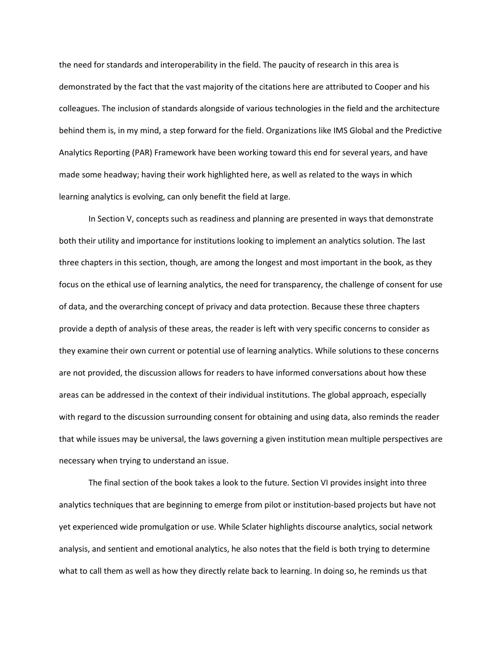the need for standards and interoperability in the field. The paucity of research in this area is demonstrated by the fact that the vast majority of the citations here are attributed to Cooper and his colleagues. The inclusion of standards alongside of various technologies in the field and the architecture behind them is, in my mind, a step forward for the field. Organizations like IMS Global and the Predictive Analytics Reporting (PAR) Framework have been working toward this end for several years, and have made some headway; having their work highlighted here, as well as related to the ways in which learning analytics is evolving, can only benefit the field at large.

In Section V, concepts such as readiness and planning are presented in ways that demonstrate both their utility and importance for institutions looking to implement an analytics solution. The last three chapters in this section, though, are among the longest and most important in the book, as they focus on the ethical use of learning analytics, the need for transparency, the challenge of consent for use of data, and the overarching concept of privacy and data protection. Because these three chapters provide a depth of analysis of these areas, the reader is left with very specific concerns to consider as they examine their own current or potential use of learning analytics. While solutions to these concerns are not provided, the discussion allows for readers to have informed conversations about how these areas can be addressed in the context of their individual institutions. The global approach, especially with regard to the discussion surrounding consent for obtaining and using data, also reminds the reader that while issues may be universal, the laws governing a given institution mean multiple perspectives are necessary when trying to understand an issue.

The final section of the book takes a look to the future. Section VI provides insight into three analytics techniques that are beginning to emerge from pilot or institution-based projects but have not yet experienced wide promulgation or use. While Sclater highlights discourse analytics, social network analysis, and sentient and emotional analytics, he also notes that the field is both trying to determine what to call them as well as how they directly relate back to learning. In doing so, he reminds us that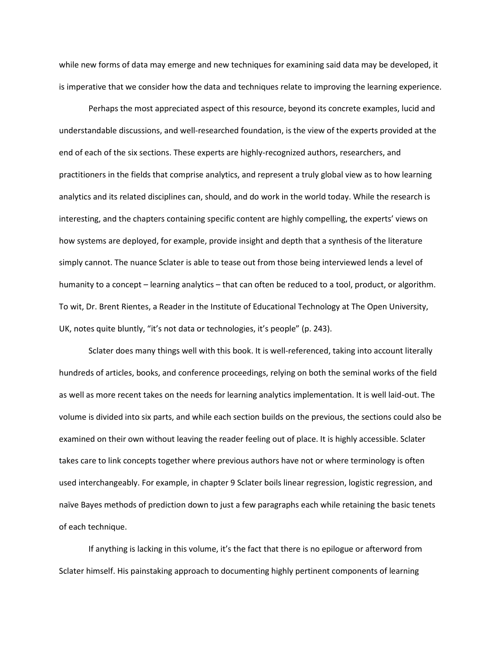while new forms of data may emerge and new techniques for examining said data may be developed, it is imperative that we consider how the data and techniques relate to improving the learning experience.

Perhaps the most appreciated aspect of this resource, beyond its concrete examples, lucid and understandable discussions, and well-researched foundation, is the view of the experts provided at the end of each of the six sections. These experts are highly-recognized authors, researchers, and practitioners in the fields that comprise analytics, and represent a truly global view as to how learning analytics and its related disciplines can, should, and do work in the world today. While the research is interesting, and the chapters containing specific content are highly compelling, the experts' views on how systems are deployed, for example, provide insight and depth that a synthesis of the literature simply cannot. The nuance Sclater is able to tease out from those being interviewed lends a level of humanity to a concept – learning analytics – that can often be reduced to a tool, product, or algorithm. To wit, Dr. Brent Rientes, a Reader in the Institute of Educational Technology at The Open University, UK, notes quite bluntly, "it's not data or technologies, it's people" (p. 243).

Sclater does many things well with this book. It is well-referenced, taking into account literally hundreds of articles, books, and conference proceedings, relying on both the seminal works of the field as well as more recent takes on the needs for learning analytics implementation. It is well laid-out. The volume is divided into six parts, and while each section builds on the previous, the sections could also be examined on their own without leaving the reader feeling out of place. It is highly accessible. Sclater takes care to link concepts together where previous authors have not or where terminology is often used interchangeably. For example, in chapter 9 Sclater boils linear regression, logistic regression, and naïve Bayes methods of prediction down to just a few paragraphs each while retaining the basic tenets of each technique.

If anything is lacking in this volume, it's the fact that there is no epilogue or afterword from Sclater himself. His painstaking approach to documenting highly pertinent components of learning